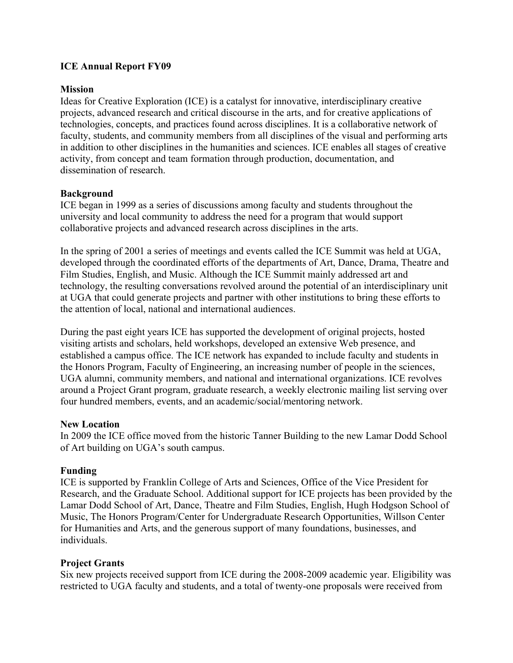## **ICE Annual Report FY09**

#### **Mission**

Ideas for Creative Exploration (ICE) is a catalyst for innovative, interdisciplinary creative projects, advanced research and critical discourse in the arts, and for creative applications of technologies, concepts, and practices found across disciplines. It is a collaborative network of faculty, students, and community members from all disciplines of the visual and performing arts in addition to other disciplines in the humanities and sciences. ICE enables all stages of creative activity, from concept and team formation through production, documentation, and dissemination of research.

#### **Background**

ICE began in 1999 as a series of discussions among faculty and students throughout the university and local community to address the need for a program that would support collaborative projects and advanced research across disciplines in the arts.

In the spring of 2001 a series of meetings and events called the ICE Summit was held at UGA, developed through the coordinated efforts of the departments of Art, Dance, Drama, Theatre and Film Studies, English, and Music. Although the ICE Summit mainly addressed art and technology, the resulting conversations revolved around the potential of an interdisciplinary unit at UGA that could generate projects and partner with other institutions to bring these efforts to the attention of local, national and international audiences.

During the past eight years ICE has supported the development of original projects, hosted visiting artists and scholars, held workshops, developed an extensive Web presence, and established a campus office. The ICE network has expanded to include faculty and students in the Honors Program, Faculty of Engineering, an increasing number of people in the sciences, UGA alumni, community members, and national and international organizations. ICE revolves around a Project Grant program, graduate research, a weekly electronic mailing list serving over four hundred members, events, and an academic/social/mentoring network.

#### **New Location**

In 2009 the ICE office moved from the historic Tanner Building to the new Lamar Dodd School of Art building on UGA's south campus.

#### **Funding**

ICE is supported by Franklin College of Arts and Sciences, Office of the Vice President for Research, and the Graduate School. Additional support for ICE projects has been provided by the Lamar Dodd School of Art, Dance, Theatre and Film Studies, English, Hugh Hodgson School of Music, The Honors Program/Center for Undergraduate Research Opportunities, Willson Center for Humanities and Arts, and the generous support of many foundations, businesses, and individuals.

#### **Project Grants**

Six new projects received support from ICE during the 2008-2009 academic year. Eligibility was restricted to UGA faculty and students, and a total of twenty-one proposals were received from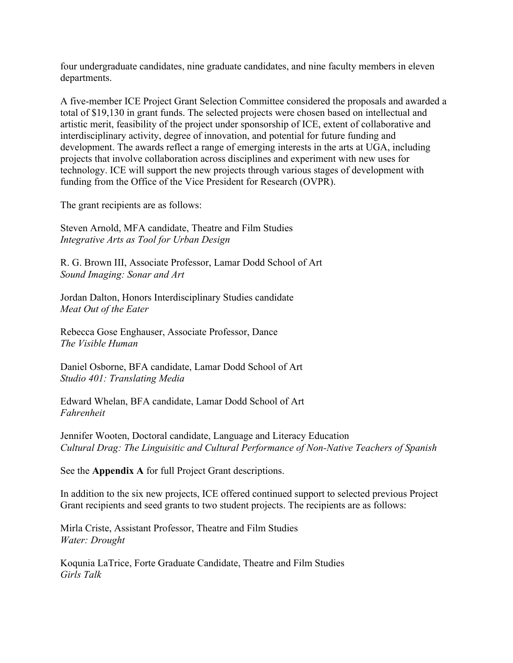four undergraduate candidates, nine graduate candidates, and nine faculty members in eleven departments.

A five-member ICE Project Grant Selection Committee considered the proposals and awarded a total of \$19,130 in grant funds. The selected projects were chosen based on intellectual and artistic merit, feasibility of the project under sponsorship of ICE, extent of collaborative and interdisciplinary activity, degree of innovation, and potential for future funding and development. The awards reflect a range of emerging interests in the arts at UGA, including projects that involve collaboration across disciplines and experiment with new uses for technology. ICE will support the new projects through various stages of development with funding from the Office of the Vice President for Research (OVPR).

The grant recipients are as follows:

Steven Arnold, MFA candidate, Theatre and Film Studies *Integrative Arts as Tool for Urban Design*

R. G. Brown III, Associate Professor, Lamar Dodd School of Art *Sound Imaging: Sonar and Art*

Jordan Dalton, Honors Interdisciplinary Studies candidate *Meat Out of the Eater*

Rebecca Gose Enghauser, Associate Professor, Dance *The Visible Human*

Daniel Osborne, BFA candidate, Lamar Dodd School of Art *Studio 401: Translating Media*

Edward Whelan, BFA candidate, Lamar Dodd School of Art *Fahrenheit*

Jennifer Wooten, Doctoral candidate, Language and Literacy Education *Cultural Drag: The Linguisitic and Cultural Performance of Non-Native Teachers of Spanish*

See the **Appendix A** for full Project Grant descriptions.

In addition to the six new projects, ICE offered continued support to selected previous Project Grant recipients and seed grants to two student projects. The recipients are as follows:

Mirla Criste, Assistant Professor, Theatre and Film Studies *Water: Drought*

Koqunia LaTrice, Forte Graduate Candidate, Theatre and Film Studies *Girls Talk*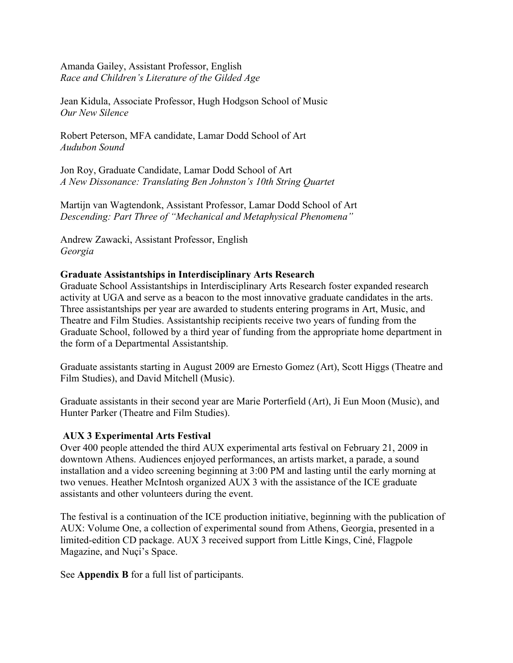Amanda Gailey, Assistant Professor, English *Race and Children's Literature of the Gilded Age*

Jean Kidula, Associate Professor, Hugh Hodgson School of Music *Our New Silence*

Robert Peterson, MFA candidate, Lamar Dodd School of Art *Audubon Sound*

Jon Roy, Graduate Candidate, Lamar Dodd School of Art *A New Dissonance: Translating Ben Johnston's 10th String Quartet*

Martijn van Wagtendonk, Assistant Professor, Lamar Dodd School of Art *Descending: Part Three of "Mechanical and Metaphysical Phenomena"*

Andrew Zawacki, Assistant Professor, English *Georgia*

## **Graduate Assistantships in Interdisciplinary Arts Research**

Graduate School Assistantships in Interdisciplinary Arts Research foster expanded research activity at UGA and serve as a beacon to the most innovative graduate candidates in the arts. Three assistantships per year are awarded to students entering programs in Art, Music, and Theatre and Film Studies. Assistantship recipients receive two years of funding from the Graduate School, followed by a third year of funding from the appropriate home department in the form of a Departmental Assistantship.

Graduate assistants starting in August 2009 are Ernesto Gomez (Art), Scott Higgs (Theatre and Film Studies), and David Mitchell (Music).

Graduate assistants in their second year are Marie Porterfield (Art), Ji Eun Moon (Music), and Hunter Parker (Theatre and Film Studies).

#### **AUX 3 Experimental Arts Festival**

Over 400 people attended the third AUX experimental arts festival on February 21, 2009 in downtown Athens. Audiences enjoyed performances, an artists market, a parade, a sound installation and a video screening beginning at 3:00 PM and lasting until the early morning at two venues. Heather McIntosh organized AUX 3 with the assistance of the ICE graduate assistants and other volunteers during the event.

The festival is a continuation of the ICE production initiative, beginning with the publication of AUX: Volume One, a collection of experimental sound from Athens, Georgia, presented in a limited-edition CD package. AUX 3 received support from Little Kings, Ciné, Flagpole Magazine, and Nuçi's Space.

See **Appendix B** for a full list of participants.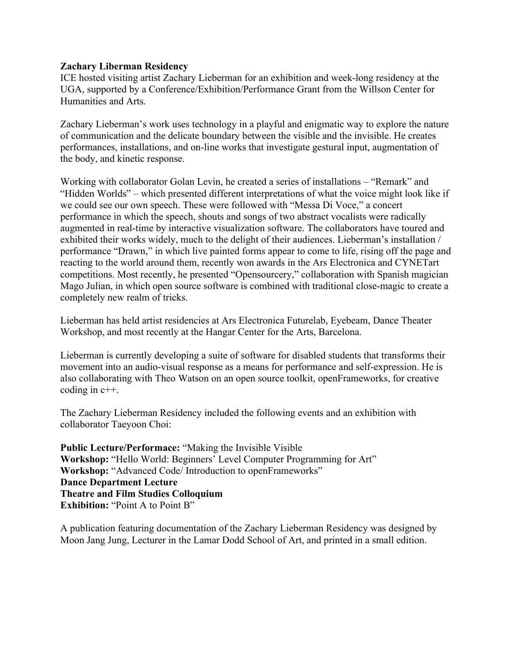#### **Zachary Liberman Residency**

ICE hosted visiting artist Zachary Lieberman for an exhibition and week-long residency at the UGA, supported by a Conference/Exhibition/Performance Grant from the Willson Center for Humanities and Arts.

Zachary Lieberman's work uses technology in a playful and enigmatic way to explore the nature of communication and the delicate boundary between the visible and the invisible. He creates performances, installations, and on-line works that investigate gestural input, augmentation of the body, and kinetic response.

Working with collaborator Golan Levin, he created a series of installations – "Remark" and "Hidden Worlds" – which presented different interpretations of what the voice might look like if we could see our own speech. These were followed with "Messa Di Voce," a concert performance in which the speech, shouts and songs of two abstract vocalists were radically augmented in real-time by interactive visualization software. The collaborators have toured and exhibited their works widely, much to the delight of their audiences. Lieberman's installation / performance "Drawn," in which live painted forms appear to come to life, rising off the page and reacting to the world around them, recently won awards in the Ars Electronica and CYNETart competitions. Most recently, he presented "Opensourcery," collaboration with Spanish magician Mago Julian, in which open source software is combined with traditional close-magic to create a completely new realm of tricks.

Lieberman has held artist residencies at Ars Electronica Futurelab, Eyebeam, Dance Theater Workshop, and most recently at the Hangar Center for the Arts, Barcelona.

Lieberman is currently developing a suite of software for disabled students that transforms their movement into an audio-visual response as a means for performance and self-expression. He is also collaborating with Theo Watson on an open source toolkit, openFrameworks, for creative coding in c++.

The Zachary Lieberman Residency included the following events and an exhibition with collaborator Taeyoon Choi:

**Public Lecture/Performace:** "Making the Invisible Visible **Workshop:** "Hello World: Beginners' Level Computer Programming for Art" **Workshop:** "Advanced Code/ Introduction to openFrameworks" **Dance Department Lecture Theatre and Film Studies Colloquium Exhibition:** "Point A to Point B"

A publication featuring documentation of the Zachary Lieberman Residency was designed by Moon Jang Jung, Lecturer in the Lamar Dodd School of Art, and printed in a small edition.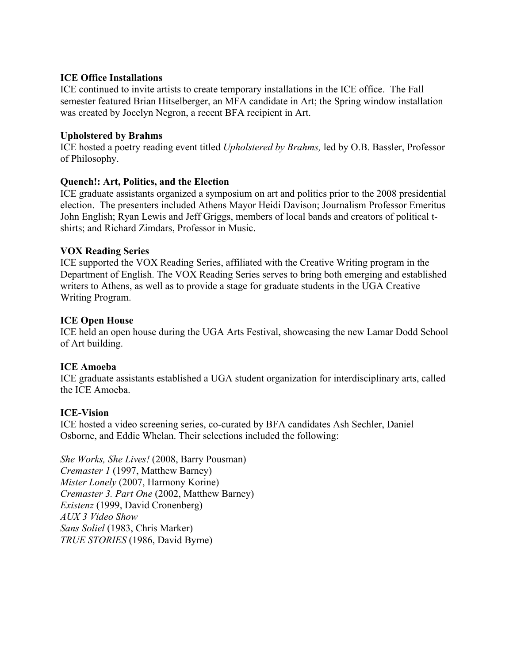## **ICE Office Installations**

ICE continued to invite artists to create temporary installations in the ICE office. The Fall semester featured Brian Hitselberger, an MFA candidate in Art; the Spring window installation was created by Jocelyn Negron, a recent BFA recipient in Art.

## **Upholstered by Brahms**

ICE hosted a poetry reading event titled *Upholstered by Brahms,* led by O.B. Bassler, Professor of Philosophy.

## **Quench!: Art, Politics, and the Election**

ICE graduate assistants organized a symposium on art and politics prior to the 2008 presidential election. The presenters included Athens Mayor Heidi Davison; Journalism Professor Emeritus John English; Ryan Lewis and Jeff Griggs, members of local bands and creators of political tshirts; and Richard Zimdars, Professor in Music.

## **VOX Reading Series**

ICE supported the VOX Reading Series, affiliated with the Creative Writing program in the Department of English. The VOX Reading Series serves to bring both emerging and established writers to Athens, as well as to provide a stage for graduate students in the UGA Creative Writing Program.

## **ICE Open House**

ICE held an open house during the UGA Arts Festival, showcasing the new Lamar Dodd School of Art building.

#### **ICE Amoeba**

ICE graduate assistants established a UGA student organization for interdisciplinary arts, called the ICE Amoeba.

# **ICE-Vision**

ICE hosted a video screening series, co-curated by BFA candidates Ash Sechler, Daniel Osborne, and Eddie Whelan. Their selections included the following:

*She Works, She Lives!* (2008, Barry Pousman) *Cremaster 1* (1997, Matthew Barney) *Mister Lonely* (2007, Harmony Korine) *Cremaster 3. Part One* (2002, Matthew Barney) *Existenz* (1999, David Cronenberg) *AUX 3 Video Show Sans Soliel* (1983, Chris Marker) *TRUE STORIES* (1986, David Byrne)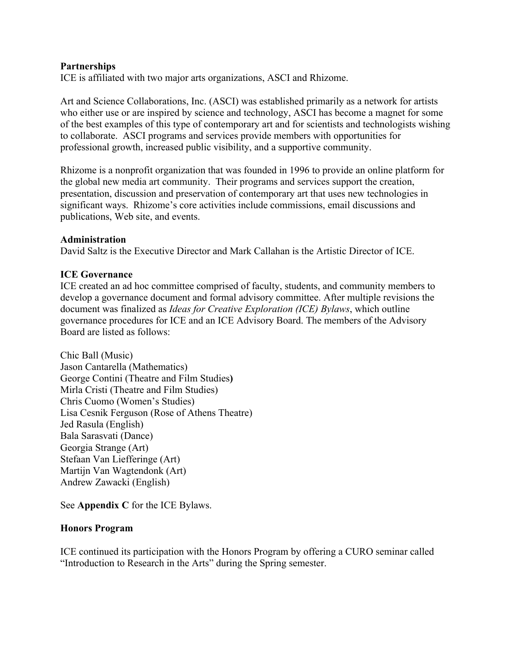#### **Partnerships**

ICE is affiliated with two major arts organizations, ASCI and Rhizome.

Art and Science Collaborations, Inc. (ASCI) was established primarily as a network for artists who either use or are inspired by science and technology, ASCI has become a magnet for some of the best examples of this type of contemporary art and for scientists and technologists wishing to collaborate. ASCI programs and services provide members with opportunities for professional growth, increased public visibility, and a supportive community.

Rhizome is a nonprofit organization that was founded in 1996 to provide an online platform for the global new media art community. Their programs and services support the creation, presentation, discussion and preservation of contemporary art that uses new technologies in significant ways. Rhizome's core activities include commissions, email discussions and publications, Web site, and events.

#### **Administration**

David Saltz is the Executive Director and Mark Callahan is the Artistic Director of ICE.

## **ICE Governance**

ICE created an ad hoc committee comprised of faculty, students, and community members to develop a governance document and formal advisory committee. After multiple revisions the document was finalized as *Ideas for Creative Exploration (ICE) Bylaws*, which outline governance procedures for ICE and an ICE Advisory Board. The members of the Advisory Board are listed as follows:

Chic Ball (Music) Jason Cantarella (Mathematics) George Contini (Theatre and Film Studies**)** Mirla Cristi (Theatre and Film Studies) Chris Cuomo (Women's Studies) Lisa Cesnik Ferguson (Rose of Athens Theatre) Jed Rasula (English) Bala Sarasvati (Dance) Georgia Strange (Art) Stefaan Van Liefferinge (Art) Martijn Van Wagtendonk (Art) Andrew Zawacki (English)

See **Appendix C** for the ICE Bylaws.

#### **Honors Program**

ICE continued its participation with the Honors Program by offering a CURO seminar called "Introduction to Research in the Arts" during the Spring semester.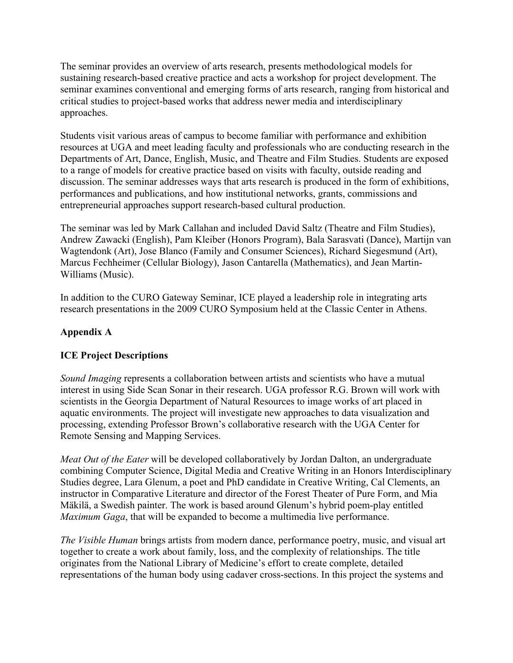The seminar provides an overview of arts research, presents methodological models for sustaining research-based creative practice and acts a workshop for project development. The seminar examines conventional and emerging forms of arts research, ranging from historical and critical studies to project-based works that address newer media and interdisciplinary approaches.

Students visit various areas of campus to become familiar with performance and exhibition resources at UGA and meet leading faculty and professionals who are conducting research in the Departments of Art, Dance, English, Music, and Theatre and Film Studies. Students are exposed to a range of models for creative practice based on visits with faculty, outside reading and discussion. The seminar addresses ways that arts research is produced in the form of exhibitions, performances and publications, and how institutional networks, grants, commissions and entrepreneurial approaches support research-based cultural production.

The seminar was led by Mark Callahan and included David Saltz (Theatre and Film Studies), Andrew Zawacki (English), Pam Kleiber (Honors Program), Bala Sarasvati (Dance), Martijn van Wagtendonk (Art), Jose Blanco (Family and Consumer Sciences), Richard Siegesmund (Art), Marcus Fechheimer (Cellular Biology), Jason Cantarella (Mathematics), and Jean Martin-Williams (Music).

In addition to the CURO Gateway Seminar, ICE played a leadership role in integrating arts research presentations in the 2009 CURO Symposium held at the Classic Center in Athens.

# **Appendix A**

# **ICE Project Descriptions**

*Sound Imaging* represents a collaboration between artists and scientists who have a mutual interest in using Side Scan Sonar in their research. UGA professor R.G. Brown will work with scientists in the Georgia Department of Natural Resources to image works of art placed in aquatic environments. The project will investigate new approaches to data visualization and processing, extending Professor Brown's collaborative research with the UGA Center for Remote Sensing and Mapping Services.

*Meat Out of the Eater* will be developed collaboratively by Jordan Dalton, an undergraduate combining Computer Science, Digital Media and Creative Writing in an Honors Interdisciplinary Studies degree, Lara Glenum, a poet and PhD candidate in Creative Writing, Cal Clements, an instructor in Comparative Literature and director of the Forest Theater of Pure Form, and Mia Mäkilä, a Swedish painter. The work is based around Glenum's hybrid poem-play entitled *Maximum Gaga*, that will be expanded to become a multimedia live performance.

*The Visible Human* brings artists from modern dance, performance poetry, music, and visual art together to create a work about family, loss, and the complexity of relationships. The title originates from the National Library of Medicine's effort to create complete, detailed representations of the human body using cadaver cross-sections. In this project the systems and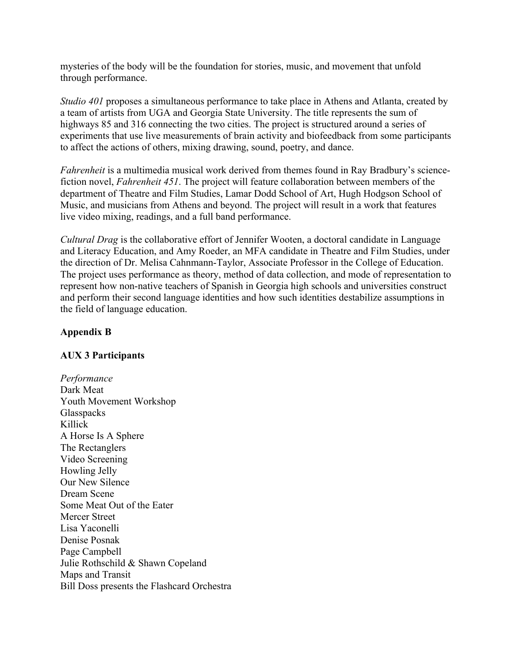mysteries of the body will be the foundation for stories, music, and movement that unfold through performance.

*Studio 401* proposes a simultaneous performance to take place in Athens and Atlanta, created by a team of artists from UGA and Georgia State University. The title represents the sum of highways 85 and 316 connecting the two cities. The project is structured around a series of experiments that use live measurements of brain activity and biofeedback from some participants to affect the actions of others, mixing drawing, sound, poetry, and dance.

*Fahrenheit* is a multimedia musical work derived from themes found in Ray Bradbury's sciencefiction novel, *Fahrenheit 451*. The project will feature collaboration between members of the department of Theatre and Film Studies, Lamar Dodd School of Art, Hugh Hodgson School of Music, and musicians from Athens and beyond. The project will result in a work that features live video mixing, readings, and a full band performance.

*Cultural Drag* is the collaborative effort of Jennifer Wooten, a doctoral candidate in Language and Literacy Education, and Amy Roeder, an MFA candidate in Theatre and Film Studies, under the direction of Dr. Melisa Cahnmann-Taylor, Associate Professor in the College of Education. The project uses performance as theory, method of data collection, and mode of representation to represent how non-native teachers of Spanish in Georgia high schools and universities construct and perform their second language identities and how such identities destabilize assumptions in the field of language education.

## **Appendix B**

#### **AUX 3 Participants**

*Performance* Dark Meat Youth Movement Workshop **Glasspacks** Killick A Horse Is A Sphere The Rectanglers Video Screening Howling Jelly Our New Silence Dream Scene Some Meat Out of the Eater Mercer Street Lisa Yaconelli Denise Posnak Page Campbell Julie Rothschild & Shawn Copeland Maps and Transit Bill Doss presents the Flashcard Orchestra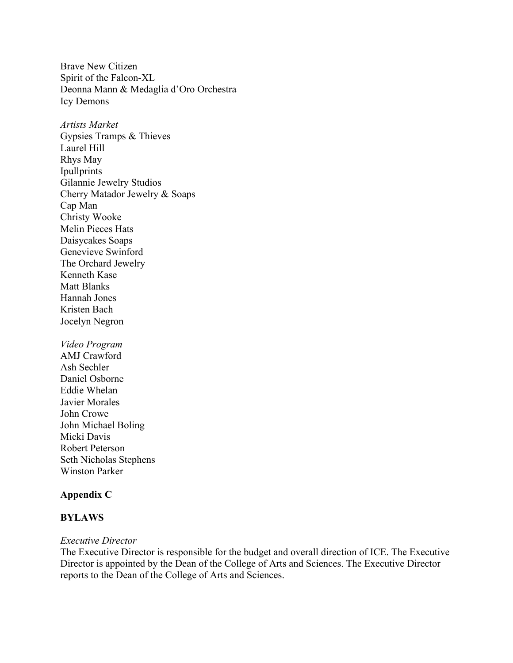Brave New Citizen Spirit of the Falcon-XL Deonna Mann & Medaglia d'Oro Orchestra Icy Demons

*Artists Market* Gypsies Tramps & Thieves Laurel Hill Rhys May Ipullprints Gilannie Jewelry Studios Cherry Matador Jewelry & Soaps Cap Man Christy Wooke Melin Pieces Hats Daisycakes Soaps Genevieve Swinford The Orchard Jewelry Kenneth Kase Matt Blanks Hannah Jones Kristen Bach Jocelyn Negron

*Video Program* AMJ Crawford Ash Sechler Daniel Osborne Eddie Whelan Javier Morales John Crowe John Michael Boling Micki Davis Robert Peterson Seth Nicholas Stephens Winston Parker

#### **Appendix C**

#### **BYLAWS**

#### *Executive Director*

The Executive Director is responsible for the budget and overall direction of ICE. The Executive Director is appointed by the Dean of the College of Arts and Sciences. The Executive Director reports to the Dean of the College of Arts and Sciences.